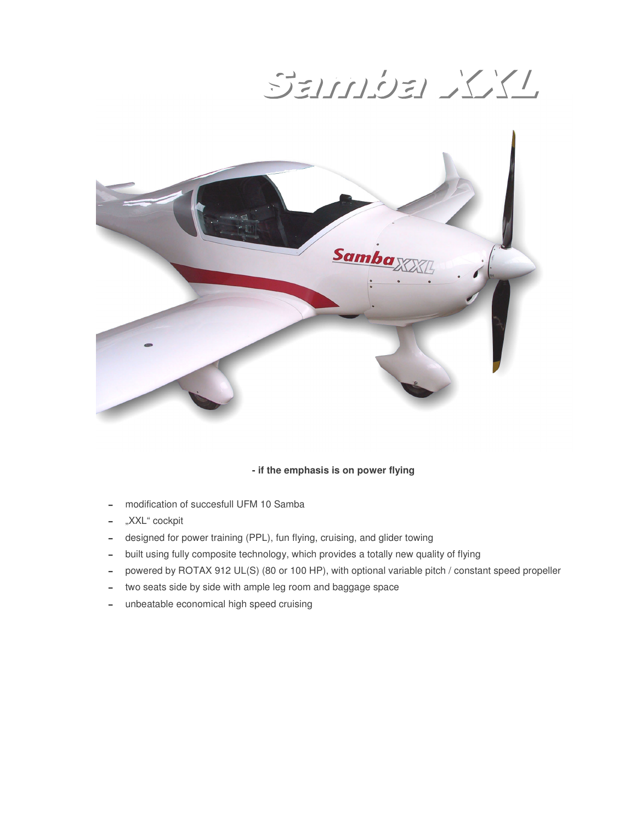SEINDEL XXI



#### **- if the emphasis is on power flying**

- modification of succesfull UFM 10 Samba
- -"XXL" cockpit
- designed for power training (PPL), fun flying, cruising, and glider towing
- built using fully composite technology, which provides a totally new quality of flying
- powered by ROTAX 912 UL(S) (80 or 100 HP), with optional variable pitch / constant speed propeller
- two seats side by side with ample leg room and baggage space
- unbeatable economical high speed cruising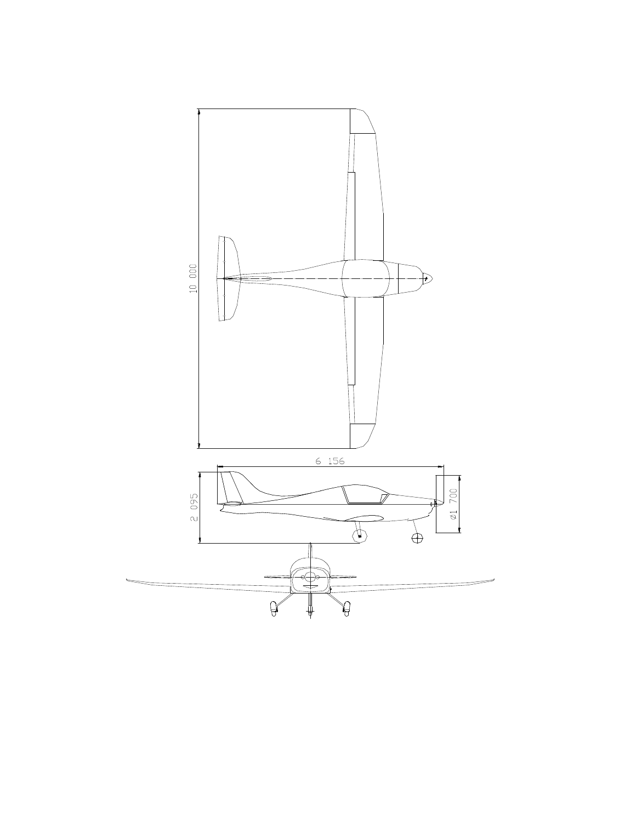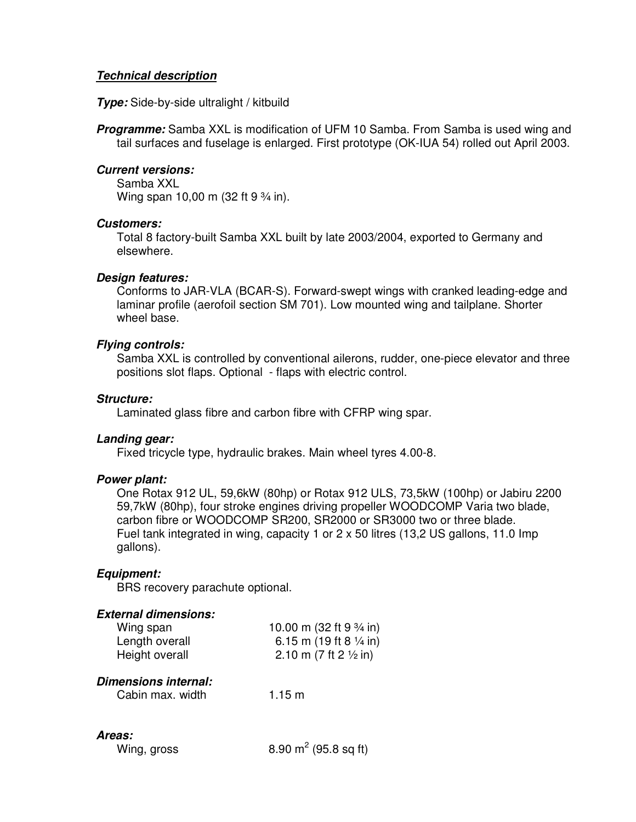## *Technical description*

*Type:* Side-by-side ultralight / kitbuild

*Programme:* Samba XXL is modification of UFM 10 Samba. From Samba is used wing and tail surfaces and fuselage is enlarged. First prototype (OK-IUA 54) rolled out April 2003.

#### *Current versions:*

Samba XXL Wing span 10,00 m (32 ft 9 <sup>3</sup>/<sub>4</sub> in).

#### *Customers:*

Total 8 factory-built Samba XXL built by late 2003/2004, exported to Germany and elsewhere.

#### *Design features:*

Conforms to JAR-VLA (BCAR-S). Forward-swept wings with cranked leading-edge and laminar profile (aerofoil section SM 701). Low mounted wing and tailplane. Shorter wheel base.

### *Flying controls:*

Samba XXL is controlled by conventional ailerons, rudder, one-piece elevator and three positions slot flaps. Optional - flaps with electric control.

### *Structure:*

Laminated glass fibre and carbon fibre with CFRP wing spar.

## *Landing gear:*

Fixed tricycle type, hydraulic brakes. Main wheel tyres 4.00-8.

### *Power plant:*

One Rotax 912 UL, 59,6kW (80hp) or Rotax 912 ULS, 73,5kW (100hp) or Jabiru 2200 59,7kW (80hp), four stroke engines driving propeller WOODCOMP Varia two blade, carbon fibre or WOODCOMP SR200, SR2000 or SR3000 two or three blade. Fuel tank integrated in wing, capacity 1 or  $2 \times 50$  litres (13,2 US gallons, 11.0 lmp gallons).

### *Equipment:*

BRS recovery parachute optional.

### *External dimensions:*

| Wing span      | 10.00 m (32 ft 9 3/4 in)          |
|----------------|-----------------------------------|
| Length overall | 6.15 m (19 ft 8 $\frac{1}{4}$ in) |
| Height overall | 2.10 m (7 ft 2 $\frac{1}{2}$ in)  |
|                |                                   |

# *Dimensions internal:*

| $1.15 \text{ m}$ | Cabin max. width |
|------------------|------------------|
|                  |                  |

#### *Areas:*

| Wing, gross | 8.90 $m^2$ (95.8 sq ft) |
|-------------|-------------------------|
|             |                         |